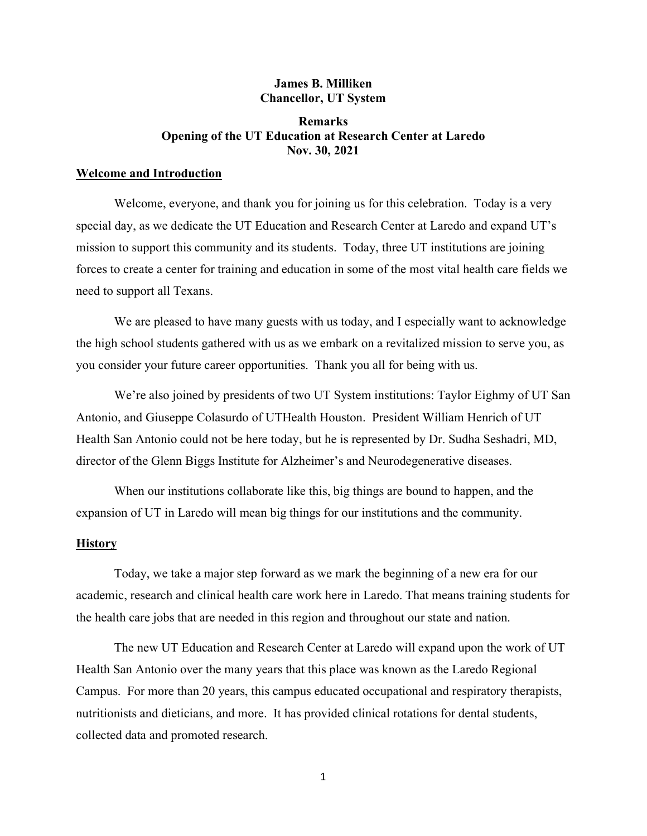## **James B. Milliken Chancellor, UT System**

# **Remarks Opening of the UT Education at Research Center at Laredo Nov. 30, 2021**

## **Welcome and Introduction**

Welcome, everyone, and thank you for joining us for this celebration. Today is a very special day, as we dedicate the UT Education and Research Center at Laredo and expand UT's mission to support this community and its students. Today, three UT institutions are joining forces to create a center for training and education in some of the most vital health care fields we need to support all Texans.

We are pleased to have many guests with us today, and I especially want to acknowledge the high school students gathered with us as we embark on a revitalized mission to serve you, as you consider your future career opportunities. Thank you all for being with us.

We're also joined by presidents of two UT System institutions: Taylor Eighmy of UT San Antonio, and Giuseppe Colasurdo of UTHealth Houston. President William Henrich of UT Health San Antonio could not be here today, but he is represented by Dr. Sudha Seshadri, MD, director of the Glenn Biggs Institute for Alzheimer's and Neurodegenerative diseases.

When our institutions collaborate like this, big things are bound to happen, and the expansion of UT in Laredo will mean big things for our institutions and the community.

### **History**

Today, we take a major step forward as we mark the beginning of a new era for our academic, research and clinical health care work here in Laredo. That means training students for the health care jobs that are needed in this region and throughout our state and nation.

The new UT Education and Research Center at Laredo will expand upon the work of UT Health San Antonio over the many years that this place was known as the Laredo Regional Campus. For more than 20 years, this campus educated occupational and respiratory therapists, nutritionists and dieticians, and more. It has provided clinical rotations for dental students, collected data and promoted research.

1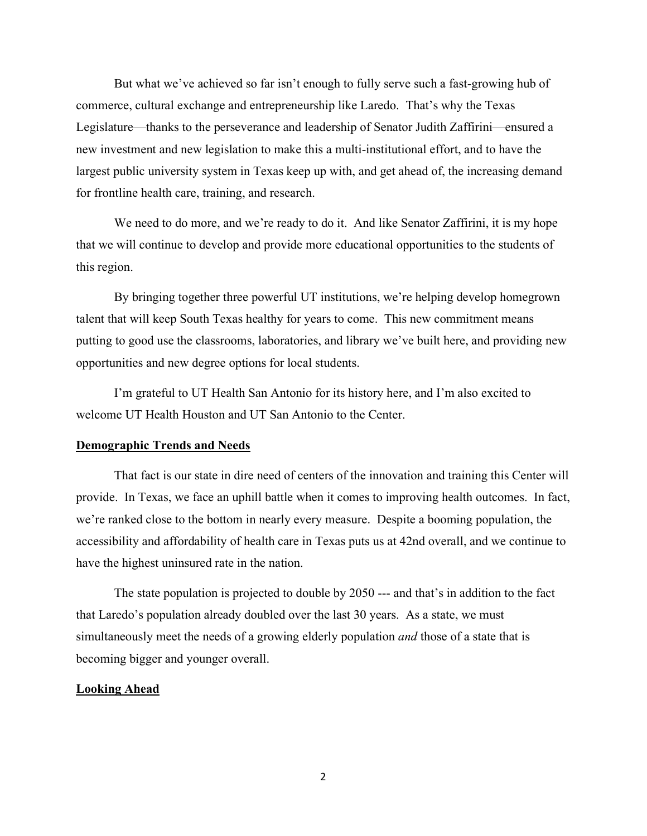But what we've achieved so far isn't enough to fully serve such a fast-growing hub of commerce, cultural exchange and entrepreneurship like Laredo. That's why the Texas Legislature—thanks to the perseverance and leadership of Senator Judith Zaffirini—ensured a new investment and new legislation to make this a multi-institutional effort, and to have the largest public university system in Texas keep up with, and get ahead of, the increasing demand for frontline health care, training, and research.

We need to do more, and we're ready to do it. And like Senator Zaffirini, it is my hope that we will continue to develop and provide more educational opportunities to the students of this region.

By bringing together three powerful UT institutions, we're helping develop homegrown talent that will keep South Texas healthy for years to come. This new commitment means putting to good use the classrooms, laboratories, and library we've built here, and providing new opportunities and new degree options for local students.

I'm grateful to UT Health San Antonio for its history here, and I'm also excited to welcome UT Health Houston and UT San Antonio to the Center.

### **Demographic Trends and Needs**

That fact is our state in dire need of centers of the innovation and training this Center will provide. In Texas, we face an uphill battle when it comes to improving health outcomes. In fact, we're ranked close to the bottom in nearly every measure. Despite a booming population, the accessibility and affordability of health care in Texas puts us at 42nd overall, and we continue to have the highest uninsured rate in the nation.

The state population is projected to double by 2050 --- and that's in addition to the fact that Laredo's population already doubled over the last 30 years. As a state, we must simultaneously meet the needs of a growing elderly population *and* those of a state that is becoming bigger and younger overall.

#### **Looking Ahead**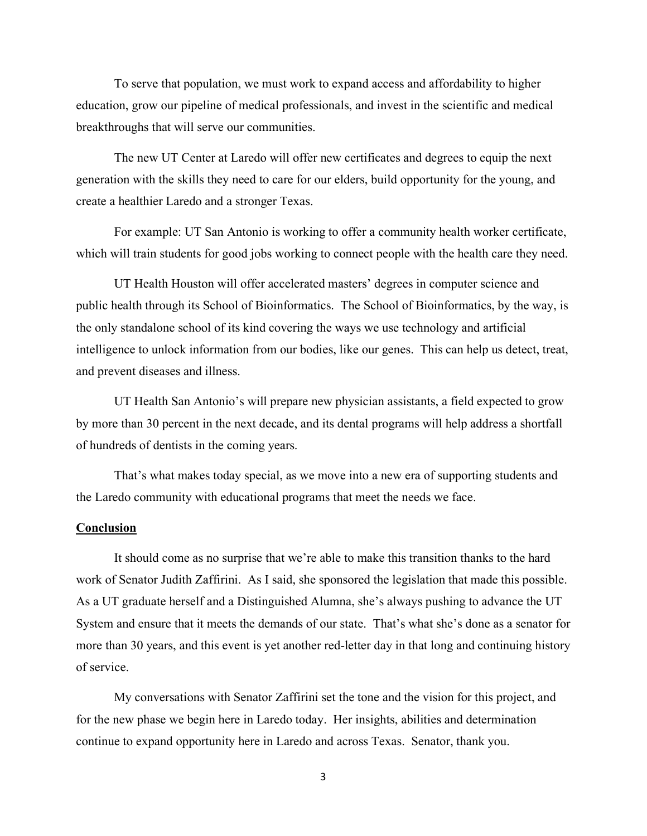To serve that population, we must work to expand access and affordability to higher education, grow our pipeline of medical professionals, and invest in the scientific and medical breakthroughs that will serve our communities.

The new UT Center at Laredo will offer new certificates and degrees to equip the next generation with the skills they need to care for our elders, build opportunity for the young, and create a healthier Laredo and a stronger Texas.

For example: UT San Antonio is working to offer a community health worker certificate, which will train students for good jobs working to connect people with the health care they need.

UT Health Houston will offer accelerated masters' degrees in computer science and public health through its School of Bioinformatics. The School of Bioinformatics, by the way, is the only standalone school of its kind covering the ways we use technology and artificial intelligence to unlock information from our bodies, like our genes. This can help us detect, treat, and prevent diseases and illness.

UT Health San Antonio's will prepare new physician assistants, a field expected to grow by more than 30 percent in the next decade, and its dental programs will help address a shortfall of hundreds of dentists in the coming years.

That's what makes today special, as we move into a new era of supporting students and the Laredo community with educational programs that meet the needs we face.

### **Conclusion**

It should come as no surprise that we're able to make this transition thanks to the hard work of Senator Judith Zaffirini. As I said, she sponsored the legislation that made this possible. As a UT graduate herself and a Distinguished Alumna, she's always pushing to advance the UT System and ensure that it meets the demands of our state. That's what she's done as a senator for more than 30 years, and this event is yet another red-letter day in that long and continuing history of service.

My conversations with Senator Zaffirini set the tone and the vision for this project, and for the new phase we begin here in Laredo today. Her insights, abilities and determination continue to expand opportunity here in Laredo and across Texas. Senator, thank you.

3